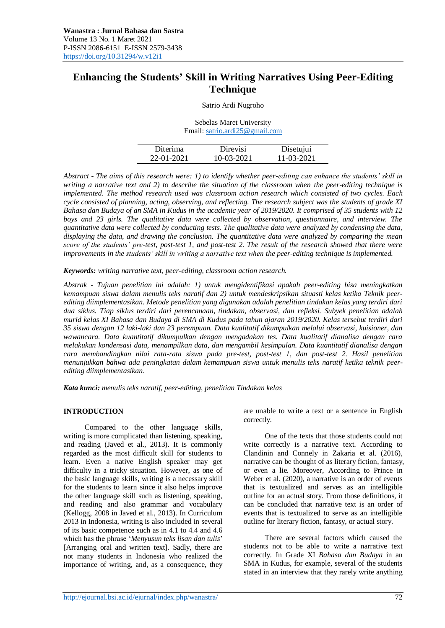# **Enhancing the Students' Skill in Writing Narratives Using Peer-Editing Technique**

Satrio Ardi Nugroho

Sebelas Maret University Email[: satrio.ardi25@gmail.com](mailto:satrio.ardi25@gmail.com)

| Diterima   | Direvisi   | Disetujui  |
|------------|------------|------------|
| 22-01-2021 | 10-03-2021 | 11-03-2021 |

*Abstract - The aims of this research were: 1) to identify whether peer-editing can enhance the students' skill in writing a narrative text and 2) to describe the situation of the classroom when the peer-editing technique is implemented. The method research used was classroom action research which consisted of two cycles. Each cycle consisted of planning, acting, observing, and reflecting. The research subject was the students of grade XI Bahasa dan Budaya of an SMA in Kudus in the academic year of 2019/2020. It comprised of 35 students with 12 boys and 23 girls. The qualitative data were collected by observation, questionnaire, and interview. The quantitative data were collected by conducting tests. The qualitative data were analyzed by condensing the data, displaying the data, and drawing the conclusion. The quantitative data were analyzed by comparing the mean score of the students' pre-test, post-test 1, and post-test 2. The result of the research showed that there were improvements in the students' skill in writing a narrative text when the peer-editing technique is implemented.*

*Keywords: writing narrative text, peer-editing, classroom action research.*

*Abstrak - Tujuan penelitian ini adalah: 1) untuk mengidentifikasi apakah peer-editing bisa meningkatkan kemampuan siswa dalam menulis teks naratif dan 2) untuk mendeskripsikan situasti kelas ketika Teknik peerediting diimplementasikan. Metode penelitian yang digunakan adalah penelitian tindakan kelas yang terdiri dari dua siklus. Tiap siklus terdiri dari perencanaan, tindakan, observasi, dan refleksi. Subyek penelitian adalah murid kelas XI Bahasa dan Budaya di SMA di Kudus pada tahun ajaran 2019/2020. Kelas tersebut terdiri dari 35 siswa dengan 12 laki-laki dan 23 perempuan. Data kualitatif dikumpulkan melalui observasi, kuisioner, dan wawancara. Data kuantitatif dikumpulkan dengan mengadakan tes. Data kualitatif dianalisa dengan cara melakukan kondensasi data, menampilkan data, dan mengambil kesimpulan. Data kuantitatif dianalisa dengan cara membandingkan nilai rata-rata siswa pada pre-test, post-test 1, dan post-test 2. Hasil penelitian menunjukkan bahwa ada peningkatan dalam kemampuan siswa untuk menulis teks naratif ketika teknik peerediting diimplementasikan.*

*Kata kunci: menulis teks naratif, peer-editing, penelitian Tindakan kelas*

### **INTRODUCTION**

Compared to the other language skills, writing is more complicated than listening, speaking, and reading (Javed et al., 2013). It is commonly regarded as the most difficult skill for students to learn. Even a native English speaker may get difficulty in a tricky situation. However, as one of the basic language skills, writing is a necessary skill for the students to learn since it also helps improve the other language skill such as listening, speaking, and reading and also grammar and vocabulary (Kellogg, 2008 in Javed et al., 2013). In Curriculum 2013 in Indonesia, writing is also included in several of its basic competence such as in 4.1 to 4.4 and 4.6 which has the phrase '*Menyusun teks lisan dan tulis*' [Arranging oral and written text]. Sadly, there are not many students in Indonesia who realized the importance of writing, and, as a consequence, they

are unable to write a text or a sentence in English correctly.

One of the texts that those students could not write correctly is a narrative text. According to Clandinin and Connely in Zakaria et al. (2016), narrative can be thought of as literary fiction, fantasy, or even a lie. Moreover, According to Prince in Weber et al. (2020), a narrative is an order of events that is textualized and serves as an intelligible outline for an actual story. From those definitions, it can be concluded that narrative text is an order of events that is textualized to serve as an intelligible outline for literary fiction, fantasy, or actual story.

There are several factors which caused the students not to be able to write a narrative text correctly. In Grade XI *Bahasa dan Budaya* in an SMA in Kudus, for example, several of the students stated in an interview that they rarely write anything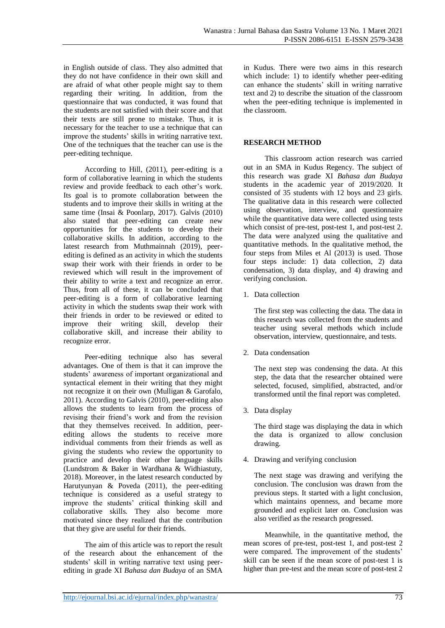in English outside of class. They also admitted that they do not have confidence in their own skill and are afraid of what other people might say to them regarding their writing. In addition, from the questionnaire that was conducted, it was found that the students are not satisfied with their score and that their texts are still prone to mistake. Thus, it is necessary for the teacher to use a technique that can improve the students' skills in writing narrative text. One of the techniques that the teacher can use is the peer-editing technique.

According to Hill, (2011), peer-editing is a form of collaborative learning in which the students review and provide feedback to each other's work. Its goal is to promote collaboration between the students and to improve their skills in writing at the same time (Insai & Poonlarp, 2017). Galvis (2010) also stated that peer-editing can create new opportunities for the students to develop their collaborative skills. In addition, according to the latest research from Muthmainnah (2019), peerediting is defined as an activity in which the students swap their work with their friends in order to be reviewed which will result in the improvement of their ability to write a text and recognize an error. Thus, from all of these, it can be concluded that peer-editing is a form of collaborative learning activity in which the students swap their work with their friends in order to be reviewed or edited to improve their writing skill, develop their collaborative skill, and increase their ability to recognize error.

Peer-editing technique also has several advantages. One of them is that it can improve the students' awareness of important organizational and syntactical element in their writing that they might not recognize it on their own (Mulligan & Garofalo, 2011). According to Galvis (2010), peer-editing also allows the students to learn from the process of revising their friend's work and from the revision that they themselves received. In addition, peerediting allows the students to receive more individual comments from their friends as well as giving the students who review the opportunity to practice and develop their other language skills (Lundstrom & Baker in Wardhana & Widhiastuty, 2018). Moreover, in the latest research conducted by Harutyunyan & Poveda (2011), the peer-editing technique is considered as a useful strategy to improve the students' critical thinking skill and collaborative skills. They also become more motivated since they realized that the contribution that they give are useful for their friends.

The aim of this article was to report the result of the research about the enhancement of the students' skill in writing narrative text using peerediting in grade XI *Bahasa dan Budaya* of an SMA in Kudus. There were two aims in this research which include: 1) to identify whether peer-editing can enhance the students' skill in writing narrative text and 2) to describe the situation of the classroom when the peer-editing technique is implemented in the classroom.

## **RESEARCH METHOD**

This classroom action research was carried out in an SMA in Kudus Regency. The subject of this research was grade XI *Bahasa dan Budaya* students in the academic year of 2019/2020. It consisted of 35 students with 12 boys and 23 girls. The qualitative data in this research were collected using observation, interview, and questionnaire while the quantitative data were collected using tests which consist of pre-test, post-test 1, and post-test 2. The data were analyzed using the qualitative and quantitative methods. In the qualitative method, the four steps from Miles et Al (2013) is used. Those four steps include: 1) data collection, 2) data condensation, 3) data display, and 4) drawing and verifying conclusion.

1. Data collection

The first step was collecting the data. The data in this research was collected from the students and teacher using several methods which include observation, interview, questionnaire, and tests.

2. Data condensation

The next step was condensing the data. At this step, the data that the researcher obtained were selected, focused, simplified, abstracted, and/or transformed until the final report was completed.

3. Data display

The third stage was displaying the data in which the data is organized to allow conclusion drawing.

4. Drawing and verifying conclusion

The next stage was drawing and verifying the conclusion. The conclusion was drawn from the previous steps. It started with a light conclusion, which maintains openness, and became more grounded and explicit later on. Conclusion was also verified as the research progressed.

Meanwhile, in the quantitative method, the mean scores of pre-test, post-test 1, and post-test 2 were compared. The improvement of the students' skill can be seen if the mean score of post-test 1 is higher than pre-test and the mean score of post-test 2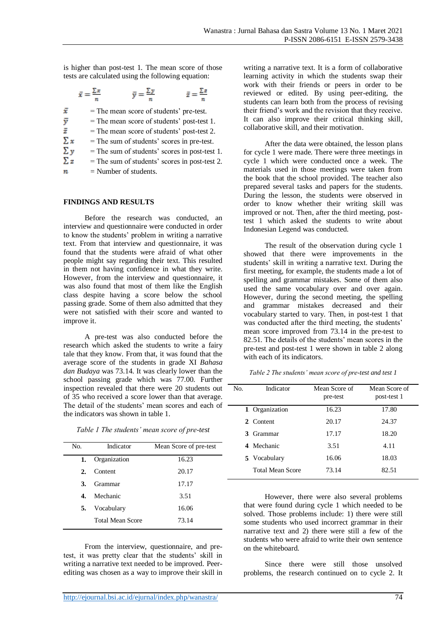is higher than post-test 1. The mean score of those tests are calculated using the following equation:

|    | $\bar{y} = \frac{\sum y}{n}$                 |  |
|----|----------------------------------------------|--|
| Ŧ  | = The mean score of students' pre-test.      |  |
| ÿ  | $=$ The mean score of students' post-test 1. |  |
| ž  | = The mean score of students' post-test 2.   |  |
| Σx | = The sum of students' scores in pre-test.   |  |
|    | $\sim$ $\sim$ $\sim$ $\sim$ $\sim$           |  |

= The sum of students' scores in post-test 1. Σy

- $\Sigma z$ = The sum of students' scores in post-test 2.
- $\boldsymbol{n}$ = Number of students.

### **FINDINGS AND RESULTS**

Before the research was conducted, an interview and questionnaire were conducted in order to know the students' problem in writing a narrative text. From that interview and questionnaire, it was found that the students were afraid of what other people might say regarding their text. This resulted in them not having confidence in what they write. However, from the interview and questionnaire, it was also found that most of them like the English class despite having a score below the school passing grade. Some of them also admitted that they were not satisfied with their score and wanted to improve it.

A pre-test was also conducted before the research which asked the students to write a fairy tale that they know. From that, it was found that the average score of the students in grade XI *Bahasa dan Budaya* was 73.14. It was clearly lower than the school passing grade which was 77.00. Further inspection revealed that there were 20 students out of 35 who received a score lower than that average. The detail of the students' mean scores and each of the indicators was shown in table 1.

| Table 1 The students' mean score of pre-test |  |
|----------------------------------------------|--|
|----------------------------------------------|--|

| No. | Indicator               | Mean Score of pre-test |
|-----|-------------------------|------------------------|
| 1.  | Organization            | 16.23                  |
| 2.  | Content                 | 20.17                  |
| 3.  | Grammar                 | 17.17                  |
| 4.  | Mechanic                | 3.51                   |
| 5.  | Vocabulary              | 16.06                  |
|     | <b>Total Mean Score</b> | 73.14                  |

From the interview, questionnaire, and pretest, it was pretty clear that the students' skill in writing a narrative text needed to be improved. Peerediting was chosen as a way to improve their skill in writing a narrative text. It is a form of collaborative learning activity in which the students swap their work with their friends or peers in order to be reviewed or edited. By using peer-editing, the students can learn both from the process of revising their friend's work and the revision that they receive. It can also improve their critical thinking skill, collaborative skill, and their motivation.

After the data were obtained, the lesson plans for cycle 1 were made. There were three meetings in cycle 1 which were conducted once a week. The materials used in those meetings were taken from the book that the school provided. The teacher also prepared several tasks and papers for the students. During the lesson, the students were observed in order to know whether their writing skill was improved or not. Then, after the third meeting, posttest 1 which asked the students to write about Indonesian Legend was conducted.

The result of the observation during cycle 1 showed that there were improvements in the students' skill in writing a narrative text. During the first meeting, for example, the students made a lot of spelling and grammar mistakes. Some of them also used the same vocabulary over and over again. However, during the second meeting, the spelling and grammar mistakes decreased and their vocabulary started to vary. Then, in post-test 1 that was conducted after the third meeting, the students' mean score improved from 73.14 in the pre-test to 82.51. The details of the students' mean scores in the pre-test and post-test 1 were shown in table 2 along with each of its indicators.

*Table 2 The students' mean score of pre-test and test 1*

| N <sub>O</sub> | Indicator               | Mean Score of<br>pre-test | Mean Score of<br>post-test 1 |
|----------------|-------------------------|---------------------------|------------------------------|
|                | 1 Organization          | 16.23                     | 17.80                        |
|                | 2. Content              | 20.17                     | 24.37                        |
|                | 3. Grammar              | 17.17                     | 18.20                        |
|                | 4 Mechanic              | 3.51                      | 4.11                         |
|                | 5. Vocabulary           | 16.06                     | 18.03                        |
|                | <b>Total Mean Score</b> | 73.14                     | 82.51                        |

However, there were also several problems that were found during cycle 1 which needed to be solved. Those problems include: 1) there were still some students who used incorrect grammar in their narrative text and 2) there were still a few of the students who were afraid to write their own sentence on the whiteboard.

Since there were still those unsolved problems, the research continued on to cycle 2. It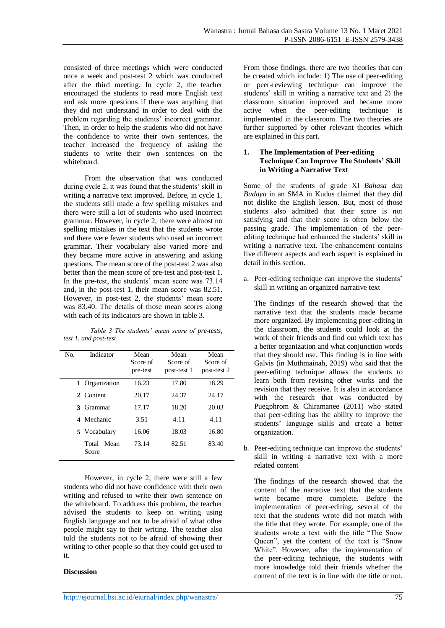consisted of three meetings which were conducted once a week and post-test 2 which was conducted after the third meeting. In cycle 2, the teacher encouraged the students to read more English text and ask more questions if there was anything that they did not understand in order to deal with the problem regarding the students' incorrect grammar. Then, in order to help the students who did not have the confidence to write their own sentences, the teacher increased the frequency of asking the students to write their own sentences on the whiteboard.

From the observation that was conducted during cycle 2, it was found that the students' skill in writing a narrative text improved. Before, in cycle 1, the students still made a few spelling mistakes and there were still a lot of students who used incorrect grammar. However, in cycle 2, there were almost no spelling mistakes in the text that the students wrote and there were fewer students who used an incorrect grammar. Their vocabulary also varied more and they became more active in answering and asking questions. The mean score of the post-test 2 was also better than the mean score of pre-test and post-test 1. In the pre-test, the students' mean score was 73.14 and, in the post-test 1, their mean score was 82.51. However, in post-test 2, the students' mean score was 83.40. The details of those mean scores along with each of its indicators are shown in table 3.

*Table 3 The students' mean score of pre-tests, test 1, and post-test*

| No. | Indicator              | Mean<br>Score of<br>pre-test | Mean<br>Score of<br>post-test 1 | Mean<br>Score of<br>post-test 2 |
|-----|------------------------|------------------------------|---------------------------------|---------------------------------|
|     | 1 Organization         | 16.23                        | 17.80                           | 18.29                           |
|     | 2 Content              | 20.17                        | 24.37                           | 24.17                           |
| 3   | Grammar                | 17.17                        | 18.20                           | 20.03                           |
|     | 4 Mechanic             | 3.51                         | 4.11                            | 4.11                            |
|     | 5 Vocabulary           | 16.06                        | 18.03                           | 16.80                           |
|     | Total<br>Mean<br>Score | 73.14                        | 82.51                           | 83.40                           |

However, in cycle 2, there were still a few students who did not have confidence with their own writing and refused to write their own sentence on the whiteboard. To address this problem, the teacher advised the students to keep on writing using English language and not to be afraid of what other people might say to their writing. The teacher also told the students not to be afraid of showing their writing to other people so that they could get used to it.

### **Discussion**

From those findings, there are two theories that can be created which include: 1) The use of peer-editing or peer-reviewing technique can improve the students' skill in writing a narrative text and 2) the classroom situation improved and became more active when the peer-editing technique is implemented in the classroom. The two theories are further supported by other relevant theories which are explained in this part.

## **1. The Implementation of Peer-editing Technique Can Improve The Students' Skill in Writing a Narrative Text**

Some of the students of grade XI *Bahasa dan Budaya* in an SMA in Kudus claimed that they did not dislike the English lesson. But, most of those students also admitted that their score is not satisfying and that their score is often below the passing grade. The implementation of the peerediting technique had enhanced the students' skill in writing a narrative text. The enhancement contains five different aspects and each aspect is explained in detail in this section.

a. Peer-editing technique can improve the students' skill in writing an organized narrative text

The findings of the research showed that the narrative text that the students made became more organized. By implementing peer-editing in the classroom, the students could look at the work of their friends and find out which text has a better organization and what conjunction words that they should use. This finding is in line with Galvis (in Muthmainah, 2019) who said that the peer-editing technique allows the students to learn both from revising other works and the revision that they receive. It is also in accordance with the research that was conducted by Puegphrom & Chiramanee (2011) who stated that peer-editing has the ability to improve the students' language skills and create a better organization.

b. Peer-editing technique can improve the students' skill in writing a narrative text with a more related content

The findings of the research showed that the content of the narrative text that the students write became more complete. Before the implementation of peer-editing, several of the text that the students wrote did not match with the title that they wrote. For example, one of the students wrote a text with the title "The Snow Queen", yet the content of the text is "Snow White". However, after the implementation of the peer-editing technique, the students with more knowledge told their friends whether the content of the text is in line with the title or not.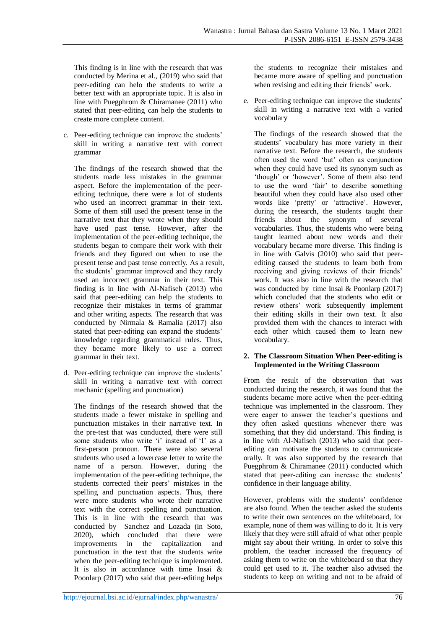This finding is in line with the research that was conducted by Merina et al., (2019) who said that peer-editing can helo the students to write a better text with an appropriate topic. It is also in line with Puegphrom & Chiramanee (2011) who stated that peer-editing can help the students to create more complete content.

c. Peer-editing technique can improve the students' skill in writing a narrative text with correct grammar

The findings of the research showed that the students made less mistakes in the grammar aspect. Before the implementation of the peerediting technique, there were a lot of students who used an incorrect grammar in their text. Some of them still used the present tense in the narrative text that they wrote when they should have used past tense. However, after the implementation of the peer-editing technique, the students began to compare their work with their friends and they figured out when to use the present tense and past tense correctly. As a result, the students' grammar improved and they rarely used an incorrect grammar in their text. This finding is in line with Al-Nafiseh (2013) who said that peer-editing can help the students to recognize their mistakes in terms of grammar and other writing aspects. The research that was conducted by Nirmala & Ramalia (2017) also stated that peer-editing can expand the students' knowledge regarding grammatical rules. Thus, they became more likely to use a correct grammar in their text.

d. Peer-editing technique can improve the students' skill in writing a narrative text with correct mechanic (spelling and punctuation)

The findings of the research showed that the students made a fewer mistake in spelling and punctuation mistakes in their narrative text. In the pre-test that was conducted, there were still some students who write 'i' instead of 'I' as a first-person pronoun. There were also several students who used a lowercase letter to write the name of a person. However, during the implementation of the peer-editing technique, the students corrected their peers' mistakes in the spelling and punctuation aspects. Thus, there were more students who wrote their narrative text with the correct spelling and punctuation. This is in line with the research that was conducted by Sanchez and Lozada (in Soto, 2020), which concluded that there were improvements in the capitalization and punctuation in the text that the students write when the peer-editing technique is implemented. It is also in accordance with time Insai & Poonlarp (2017) who said that peer-editing helps

the students to recognize their mistakes and became more aware of spelling and punctuation when revising and editing their friends' work.

e. Peer-editing technique can improve the students' skill in writing a narrative text with a varied vocabulary

The findings of the research showed that the students' vocabulary has more variety in their narrative text. Before the research, the students often used the word 'but' often as conjunction when they could have used its synonym such as 'though' or 'however'. Some of them also tend to use the word 'fair' to describe something beautiful when they could have also used other words like 'pretty' or 'attractive'. However, during the research, the students taught their friends about the synonym of several vocabularies. Thus, the students who were being taught learned about new words and their vocabulary became more diverse. This finding is in line with Galvis (2010) who said that peerediting caused the students to learn both from receiving and giving reviews of their friends' work. It was also in line with the research that was conducted by time Insai & Poonlarp (2017) which concluded that the students who edit or review others' work subsequently implement their editing skills in their own text. It also provided them with the chances to interact with each other which caused them to learn new vocabulary.

## **2. The Classroom Situation When Peer-editing is Implemented in the Writing Classroom**

From the result of the observation that was conducted during the research, it was found that the students became more active when the peer-editing technique was implemented in the classroom. They were eager to answer the teacher's questions and they often asked questions whenever there was something that they did understand. This finding is in line with Al-Nafiseh (2013) who said that peerediting can motivate the students to communicate orally. It was also supported by the research that Puegphrom & Chiramanee (2011) conducted which stated that peer-editing can increase the students' confidence in their language ability.

However, problems with the students' confidence are also found. When the teacher asked the students to write their own sentences on the whiteboard, for example, none of them was willing to do it. It is very likely that they were still afraid of what other people might say about their writing. In order to solve this problem, the teacher increased the frequency of asking them to write on the whiteboard so that they could get used to it. The teacher also advised the students to keep on writing and not to be afraid of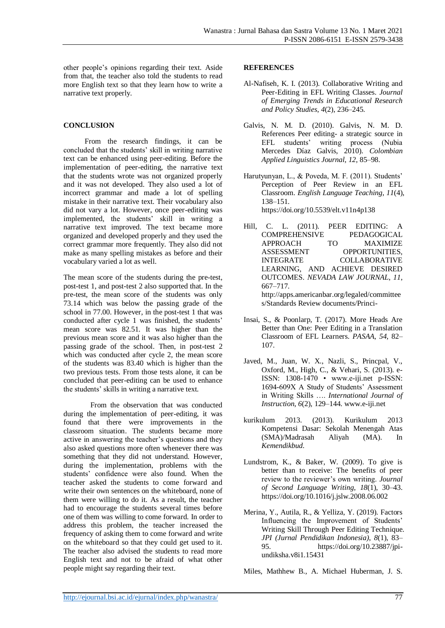other people's opinions regarding their text. Aside from that, the teacher also told the students to read more English text so that they learn how to write a narrative text properly.

## **CONCLUSION**

From the research findings, it can be concluded that the students' skill in writing narrative text can be enhanced using peer-editing. Before the implementation of peer-editing, the narrative text that the students wrote was not organized properly and it was not developed. They also used a lot of incorrect grammar and made a lot of spelling mistake in their narrative text. Their vocabulary also did not vary a lot. However, once peer-editing was implemented, the students' skill in writing a narrative text improved. The text became more organized and developed properly and they used the correct grammar more frequently. They also did not make as many spelling mistakes as before and their vocabulary varied a lot as well.

The mean score of the students during the pre-test, post-test 1, and post-test 2 also supported that. In the pre-test, the mean score of the students was only 73.14 which was below the passing grade of the school in 77.00. However, in the post-test 1 that was conducted after cycle 1 was finished, the students' mean score was 82.51. It was higher than the previous mean score and it was also higher than the passing grade of the school. Then, in post-test 2 which was conducted after cycle 2, the mean score of the students was 83.40 which is higher than the two previous tests. From those tests alone, it can be concluded that peer-editing can be used to enhance the students' skills in writing a narrative text.

From the observation that was conducted during the implementation of peer-editing, it was found that there were improvements in the classroom situation. The students became more active in answering the teacher's questions and they also asked questions more often whenever there was something that they did not understand. However, during the implementation, problems with the students' confidence were also found. When the teacher asked the students to come forward and write their own sentences on the whiteboard, none of them were willing to do it. As a result, the teacher had to encourage the students several times before one of them was willing to come forward. In order to address this problem, the teacher increased the frequency of asking them to come forward and write on the whiteboard so that they could get used to it. The teacher also advised the students to read more English text and not to be afraid of what other people might say regarding their text.

#### **REFERENCES**

- Al-Nafiseh, K. I. (2013). Collaborative Writing and Peer-Editing in EFL Writing Classes. *Journal of Emerging Trends in Educational Research and Policy Studies*, *4*(2), 236–245.
- Galvis, N. M. D. (2010). Galvis, N. M. D. References Peer editing- a strategic source in EFL students' writing process (Nubia Mercedes Díaz Galvis, 2010). *Colombian Applied Linguistics Journal*, *12*, 85–98.
- Harutyunyan, L., & Poveda, M. F. (2011). Students' Perception of Peer Review in an EFL Classroom. *English Language Teaching*, *11*(4), 138–151. https://doi.org/10.5539/elt.v11n4p138
- Hill, C. L. (2011). PEER EDITING: A COMPREHENSIVE PEDAGOGICAL APPROACH TO MAXIMIZE ASSESSMENT OPPORTUNITIES, INTEGRATE COLLABORATIVE LEARNING, AND ACHIEVE DESIRED OUTCOMES. *NEVADA LAW JOURNAL*, *11*, 667–717. http://apps.americanbar.org/legaled/committee s/Standards Review documents/Princi-
- Insai, S., & Poonlarp, T. (2017). More Heads Are Better than One: Peer Editing in a Translation Classroom of EFL Learners. *PASAA*, *54*, 82– 107.
- Javed, M., Juan, W. X., Nazli, S., Princpal, V., Oxford, M., High, C., & Vehari, S. (2013). e-ISSN: 1308-1470 • www.e-iji.net p-ISSN: 1694-609X A Study of Students' Assessment in Writing Skills …. *International Journal of Instruction*, *6*(2), 129–144. www.e-iji.net
- kurikulum 2013. (2013). Kurikulum 2013 Kompetensi Dasar: Sekolah Menengah Atas (SMA)/Madrasah Aliyah (MA). In *Kemendikbud*.
- Lundstrom, K., & Baker, W. (2009). To give is better than to receive: The benefits of peer review to the reviewer's own writing. *Journal of Second Language Writing*, *18*(1), 30–43. https://doi.org/10.1016/j.jslw.2008.06.002
- Merina, Y., Autila, R., & Yelliza, Y. (2019). Factors Influencing the Improvement of Students' Writing Skill Through Peer Editing Technique. *JPI (Jurnal Pendidikan Indonesia)*, *8*(1), 83– 95. https://doi.org/10.23887/jpiundiksha.v8i1.15431

Miles, Mathhew B., A. Michael Huberman, J. S.